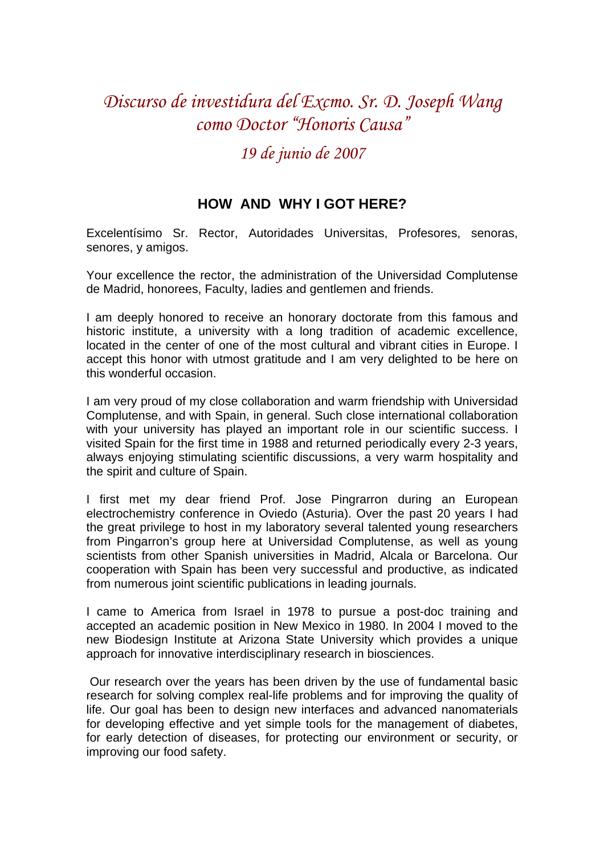## *Discurso de investidura del Excmo. Sr. D. Joseph Wang como Doctor "Honoris Causa"*

## *19 de junio de 2007*

## **HOW AND WHY I GOT HERE?**

Excelentísimo Sr. Rector, Autoridades Universitas, Profesores, senoras, senores, y amigos.

Your excellence the rector, the administration of the Universidad Complutense de Madrid, honorees, Faculty, ladies and gentlemen and friends.

I am deeply honored to receive an honorary doctorate from this famous and historic institute, a university with a long tradition of academic excellence, located in the center of one of the most cultural and vibrant cities in Europe. I accept this honor with utmost gratitude and I am very delighted to be here on this wonderful occasion.

I am very proud of my close collaboration and warm friendship with Universidad Complutense, and with Spain, in general. Such close international collaboration with your university has played an important role in our scientific success. I visited Spain for the first time in 1988 and returned periodically every 2-3 years, always enjoying stimulating scientific discussions, a very warm hospitality and the spirit and culture of Spain.

I first met my dear friend Prof. Jose Pingrarron during an European electrochemistry conference in Oviedo (Asturia). Over the past 20 years I had the great privilege to host in my laboratory several talented young researchers from Pingarron's group here at Universidad Complutense, as well as young scientists from other Spanish universities in Madrid, Alcala or Barcelona. Our cooperation with Spain has been very successful and productive, as indicated from numerous joint scientific publications in leading journals.

I came to America from Israel in 1978 to pursue a post-doc training and accepted an academic position in New Mexico in 1980. In 2004 I moved to the new Biodesign Institute at Arizona State University which provides a unique approach for innovative interdisciplinary research in biosciences.

 Our research over the years has been driven by the use of fundamental basic research for solving complex real-life problems and for improving the quality of life. Our goal has been to design new interfaces and advanced nanomaterials for developing effective and yet simple tools for the management of diabetes, for early detection of diseases, for protecting our environment or security, or improving our food safety.